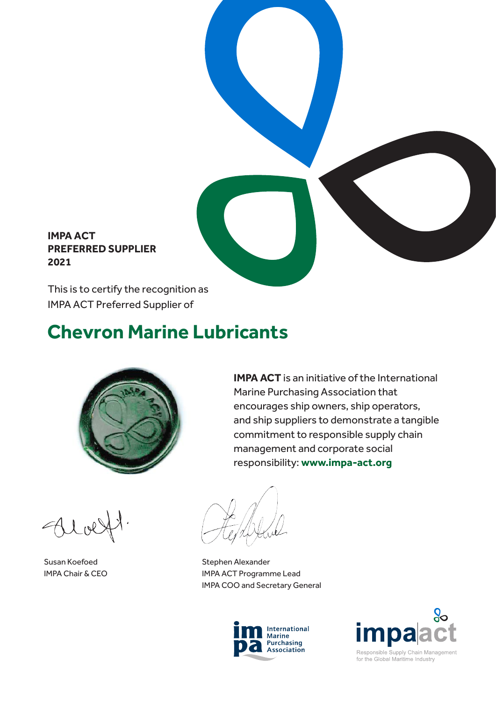## **IMPA ACT PREFERRED SUPPLIER 2021**

This is to certify the recognition as IMPA ACT Preferred Supplier of

# **Chevron Marine Lubricants**



**IMPA ACT** is an initiative of the International Marine Purchasing Association that encourages ship owners, ship operators, and ship suppliers to demonstrate a tangible commitment to responsible supply chain management and corporate social responsibility: **www.impa-act.org**

Susan Koefoed IMPA Chair & CEO

Stephen Alexander IMPA ACT Programme Lead IMPA COO and Secretary General





for the Global Maritime Industry